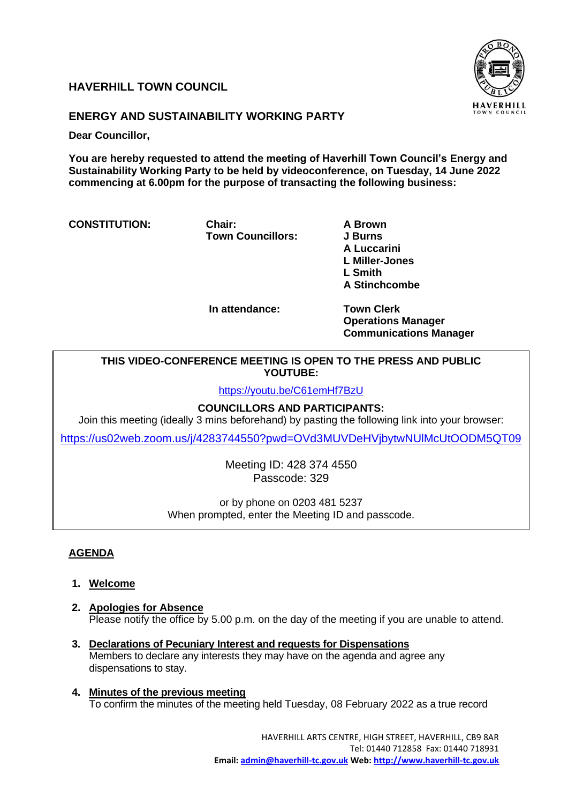# **HAVERHILL TOWN COUNCIL**



# **ENERGY AND SUSTAINABILITY WORKING PARTY**

**Dear Councillor,** 

**You are hereby requested to attend the meeting of Haverhill Town Council's Energy and Sustainability Working Party to be held by videoconference, on Tuesday, 14 June 2022 commencing at 6.00pm for the purpose of transacting the following business:**

**CONSTITUTION: Chair: A Brown**

**Town Councillors: J Burns** 

**A Luccarini L Miller-Jones L Smith A Stinchcombe**

 **In attendance: Town Clerk**

**Operations Manager Communications Manager**

## **THIS VIDEO-CONFERENCE MEETING IS OPEN TO THE PRESS AND PUBLIC YOUTUBE:**

<https://youtu.be/C61emHf7BzU>

## **COUNCILLORS AND PARTICIPANTS:**

Join this meeting (ideally 3 mins beforehand) by pasting the following link into your browser:

<https://us02web.zoom.us/j/4283744550?pwd=OVd3MUVDeHVjbytwNUlMcUtOODM5QT09>

Meeting ID: 428 374 4550 Passcode: 329

or by phone on 0203 481 5237 When prompted, enter the Meeting ID and passcode.

## **AGENDA**

- **1. Welcome**
- **2. Apologies for Absence** Please notify the office by 5.00 p.m. on the day of the meeting if you are unable to attend.
- **3. Declarations of Pecuniary Interest and requests for Dispensations**  Members to declare any interests they may have on the agenda and agree any dispensations to stay.
- **4. Minutes of the previous meeting** To confirm the minutes of the meeting held Tuesday, 08 February 2022 as a true record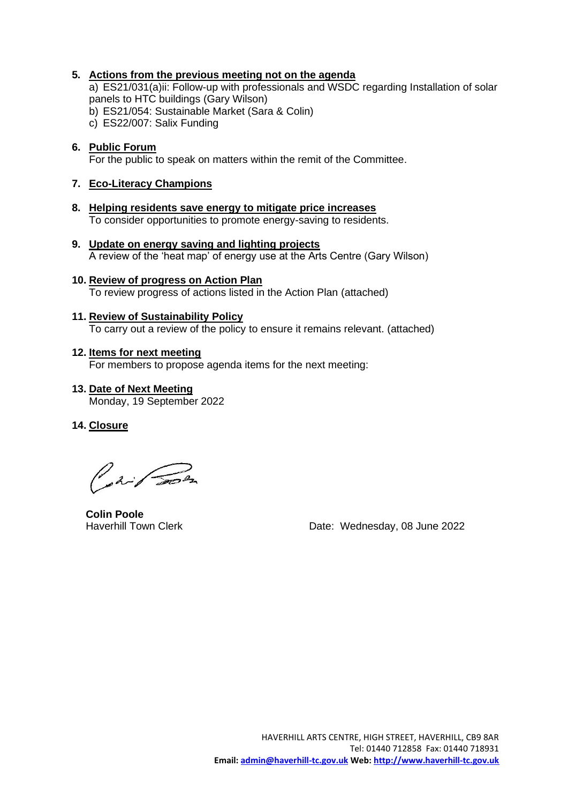## **5. Actions from the previous meeting not on the agenda**

a) ES21/031(a)ii: Follow-up with professionals and WSDC regarding Installation of solar panels to HTC buildings (Gary Wilson)

b) ES21/054: Sustainable Market (Sara & Colin)

c) ES22/007: Salix Funding

#### **6. Public Forum** For the public to speak on matters within the remit of the Committee.

### **7. Eco-Literacy Champions**

- **8. Helping residents save energy to mitigate price increases** To consider opportunities to promote energy-saving to residents.
- **9. Update on energy saving and lighting projects** A review of the 'heat map' of energy use at the Arts Centre (Gary Wilson)
- **10. Review of progress on Action Plan** To review progress of actions listed in the Action Plan (attached)

## **11. Review of Sustainability Policy**

To carry out a review of the policy to ensure it remains relevant. (attached)

#### **12. Items for next meeting**

For members to propose agenda items for the next meeting:

**13. Date of Next Meeting** Monday, 19 September 2022

## **14. Closure**

Part Son

**Colin Poole**

Haverhill Town Clerk **Date: Wednesday, 08 June 2022**